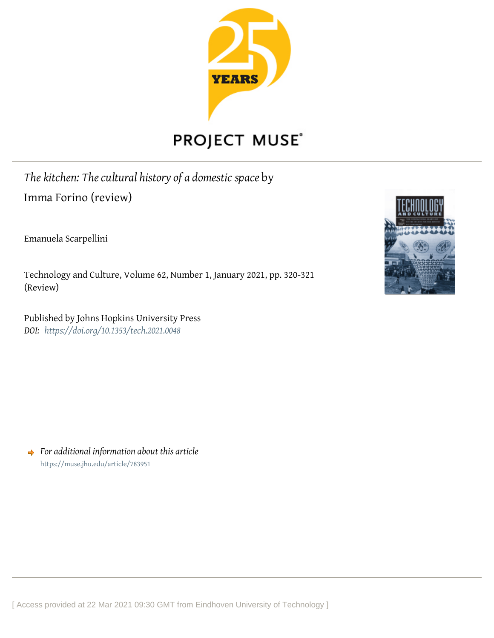

## **PROJECT MUSE®**

*The kitchen: The cultural history of a domestic space* by Imma Forino (review)

Emanuela Scarpellini

Technology and Culture, Volume 62, Number 1, January 2021, pp. 320-321 (Review)

Published by Johns Hopkins University Press *DOI: <https://doi.org/10.1353/tech.2021.0048>*



*For additional information about this article* <https://muse.jhu.edu/article/783951>

[ Access provided at 22 Mar 2021 09:30 GMT from Eindhoven University of Technology ]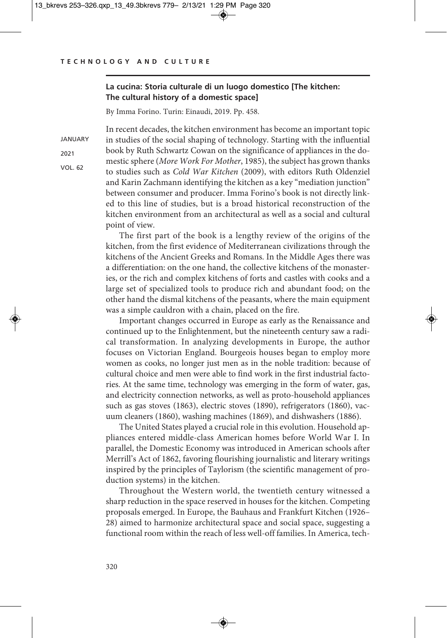JANUARY 2021 VOL. 62

## **La cucina: Storia culturale di un luogo domestico [The kitchen: The cultural history of a domestic space]**

By Imma Forino. Turin: Einaudi, 2019. Pp. 458.

In recent decades, the kitchen environment has become an important topic in studies of the social shaping of technology. Starting with the influential book by Ruth Schwartz Cowan on the significance of appliances in the domestic sphere (*More Work For Mother*, 1985), the subject has grown thanks to studies such as *Cold War Kitchen* (2009), with editors Ruth Oldenziel and Karin Zachmann identifying the kitchen as a key "mediation junction" between consumer and producer. Imma Forino's book is not directly linked to this line of studies, but is a broad historical reconstruction of the kitchen environment from an architectural as well as a social and cultural point of view.

The first part of the book is a lengthy review of the origins of the kitchen, from the first evidence of Mediterranean civilizations through the kitchens of the Ancient Greeks and Romans. In the Middle Ages there was a differentiation: on the one hand, the collective kitchens of the monasteries, or the rich and complex kitchens of forts and castles with cooks and a large set of specialized tools to produce rich and abundant food; on the other hand the dismal kitchens of the peasants, where the main equipment was a simple cauldron with a chain, placed on the fire.

Important changes occurred in Europe as early as the Renaissance and continued up to the Enlightenment, but the nineteenth century saw a radical transformation. In analyzing developments in Europe, the author focuses on Victorian England. Bourgeois houses began to employ more women as cooks, no longer just men as in the noble tradition: because of cultural choice and men were able to find work in the first industrial factories. At the same time, technology was emerging in the form of water, gas, and electricity connection networks, as well as proto-household appliances such as gas stoves (1863), electric stoves (1890), refrigerators (1860), vacuum cleaners (1860), washing machines (1869), and dishwashers (1886).

The United States played a crucial role in this evolution. Household appliances entered middle-class American homes before World War I. In parallel, the Domestic Economy was introduced in American schools after Merrill's Act of 1862, favoring flourishing journalistic and literary writings inspired by the principles of Taylorism (the scientific management of production systems) in the kitchen.

Throughout the Western world, the twentieth century witnessed a sharp reduction in the space reserved in houses for the kitchen. Competing proposals emerged. In Europe, the Bauhaus and Frankfurt Kitchen (1926– 28) aimed to harmonize architectural space and social space, suggesting a functional room within the reach of less well-off families. In America, tech